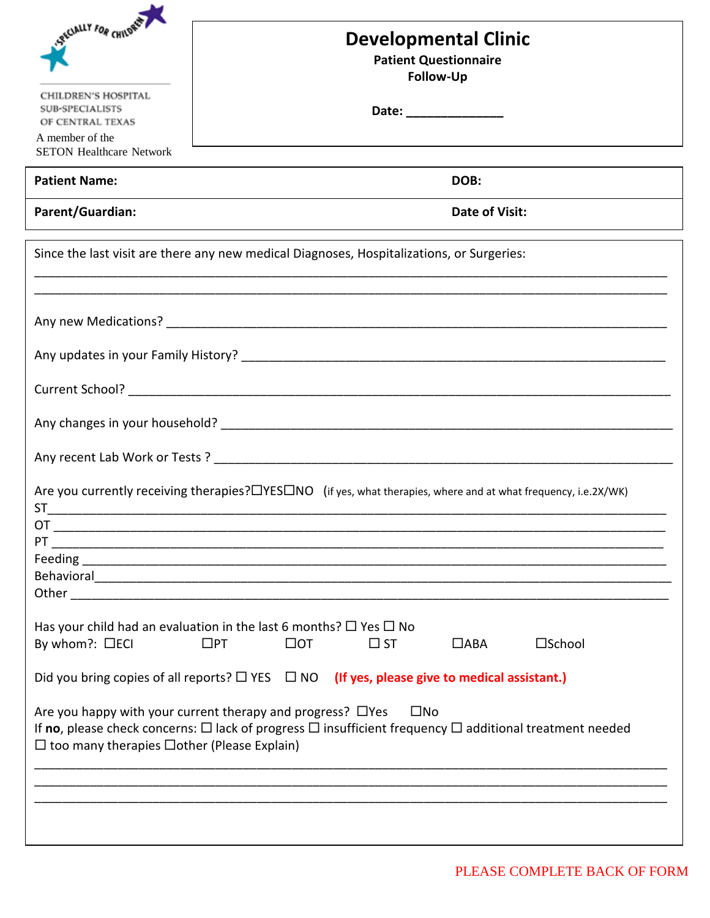| <b>eECIALLY FOR CHILDREN</b>                                                                                                                                                                                                                                    | <b>Developmental Clinic</b><br><b>Patient Questionnaire</b><br><b>Follow-Up</b>                                |  |
|-----------------------------------------------------------------------------------------------------------------------------------------------------------------------------------------------------------------------------------------------------------------|----------------------------------------------------------------------------------------------------------------|--|
| CHILDREN'S HOSPITAL<br>SUB-SPECIALISTS<br>OF CENTRAL TEXAS                                                                                                                                                                                                      | Date: _______________                                                                                          |  |
| A member of the<br><b>SETON Healthcare Network</b>                                                                                                                                                                                                              |                                                                                                                |  |
| <b>Patient Name:</b>                                                                                                                                                                                                                                            | DOB:                                                                                                           |  |
| Parent/Guardian:                                                                                                                                                                                                                                                | Date of Visit:<br>the control of the control of the control of the control of the control of the control of    |  |
|                                                                                                                                                                                                                                                                 | Since the last visit are there any new medical Diagnoses, Hospitalizations, or Surgeries:                      |  |
|                                                                                                                                                                                                                                                                 |                                                                                                                |  |
|                                                                                                                                                                                                                                                                 |                                                                                                                |  |
|                                                                                                                                                                                                                                                                 |                                                                                                                |  |
|                                                                                                                                                                                                                                                                 |                                                                                                                |  |
|                                                                                                                                                                                                                                                                 |                                                                                                                |  |
| Are you currently receiving therapies? $\Box$ YES $\Box$ NO (if yes, what therapies, where and at what frequency, i.e.2X/WK)<br>ST<br>ОT                                                                                                                        |                                                                                                                |  |
| PT                                                                                                                                                                                                                                                              |                                                                                                                |  |
|                                                                                                                                                                                                                                                                 | Behavioral and the contract of the contract of the contract of the contract of the contract of the contract of |  |
| Has your child had an evaluation in the last 6 months? $\Box$ Yes $\Box$ No<br>By whom?: □ECI<br>$\square$ PT<br>$\Box$ OT<br>$\square$ School<br>$\square$ ST<br>$\Box$ ABA                                                                                    |                                                                                                                |  |
| Did you bring copies of all reports? $\Box$ YES $\Box$ NO (If yes, please give to medical assistant.)                                                                                                                                                           |                                                                                                                |  |
| Are you happy with your current therapy and progress? $\Box$ Yes $\Box$ No<br>If no, please check concerns: $\Box$ lack of progress $\Box$ insufficient frequency $\Box$ additional treatment needed<br>$\Box$ too many therapies $\Box$ other (Please Explain) |                                                                                                                |  |
|                                                                                                                                                                                                                                                                 |                                                                                                                |  |
|                                                                                                                                                                                                                                                                 |                                                                                                                |  |